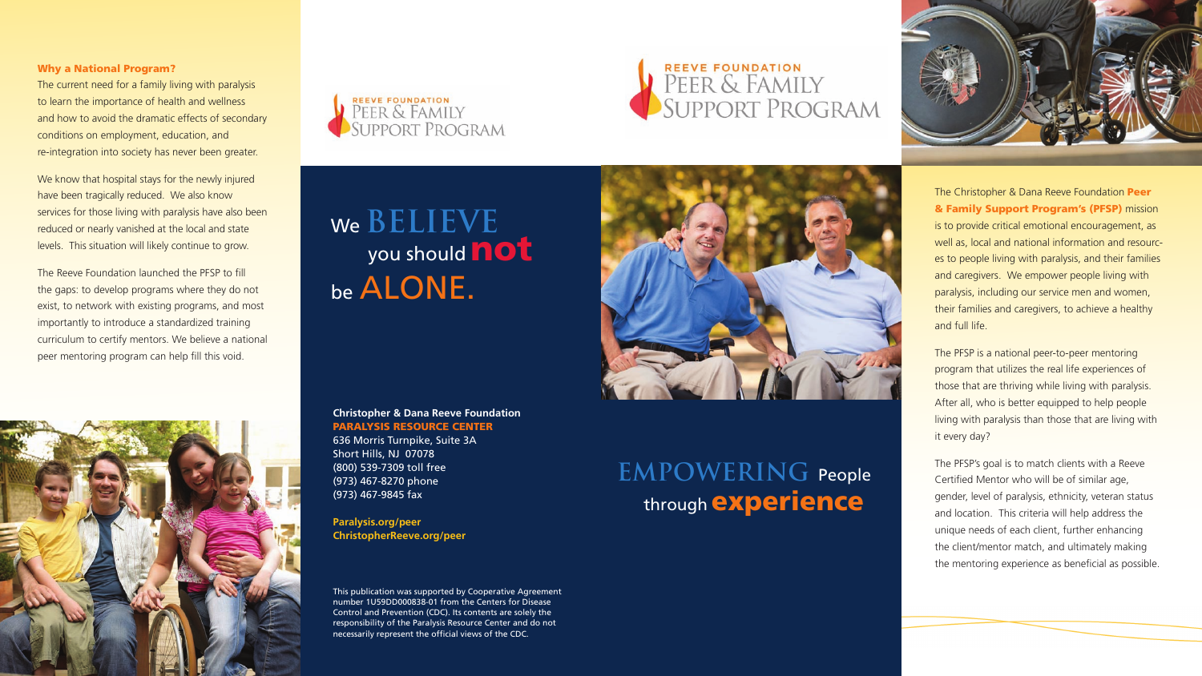The Christopher & Dana Reeve Foundation Peer & Family Support Program's (PFSP) mission is to provide critical emotional encouragement, as well as, local and national information and resources to people living with paralysis, and their families and caregivers. We empower people living with paralysis, including our service men and women, their families and caregivers, to achieve a healthy and full life.

The PFSP is a national peer-to-peer mentoring program that utilizes the real life experiences of those that are thriving while living with paralysis. After all, who is better equipped to help people living with paralysis than those that are living with it every day?

The PFSP's goal is to match clients with a Reeve Certified Mentor who will be of similar age, gender, level of paralysis, ethnicity, veteran status and location. This criteria will help address the unique needs of each client, further enhancing the client/mentor match, and ultimately making the mentoring experience as beneficial as possible.

# We **BELIEVE**<br>you should **not** be ALONE.

## REEVE FOUNDATION SUPPORT PROGRAM



#### Why a National Program?

The current need for a family living with paralysis to learn the importance of health and wellness and how to avoid the dramatic effects of secondary conditions on employment, education, and re-integration into society has never been greater.

We know that hospital stays for the newly injured have been tragically reduced. We also know services for those living with paralysis have also been reduced or nearly vanished at the local and state levels. This situation will likely continue to grow.

The Reeve Foundation launched the PFSP to fill the gaps: to develop programs where they do not exist, to network with existing programs, and most importantly to introduce a standardized training curriculum to certify mentors. We believe a national peer mentoring program can help fill this void.





### **Christopher & Dana Reeve Foundation** PARALYSIS RESOURCE CENTER

636 Morris Turnpike, Suite 3A Short Hills, NJ 07078 (800) 539-7309 toll free (973) 467-8270 phone (973) 467-9845 fax

**Paralysis.org/peer ChristopherReeve.org/peer**

This publication was supported by Cooperative Agreement number 1U59DD000838-01 from the Centers for Disease Control and Prevention (CDC). Its contents are solely the responsibility of the Paralysis Resource Center and do not necessarily represent the official views of the CDC.

### **EMPOWERING** People through **experience**